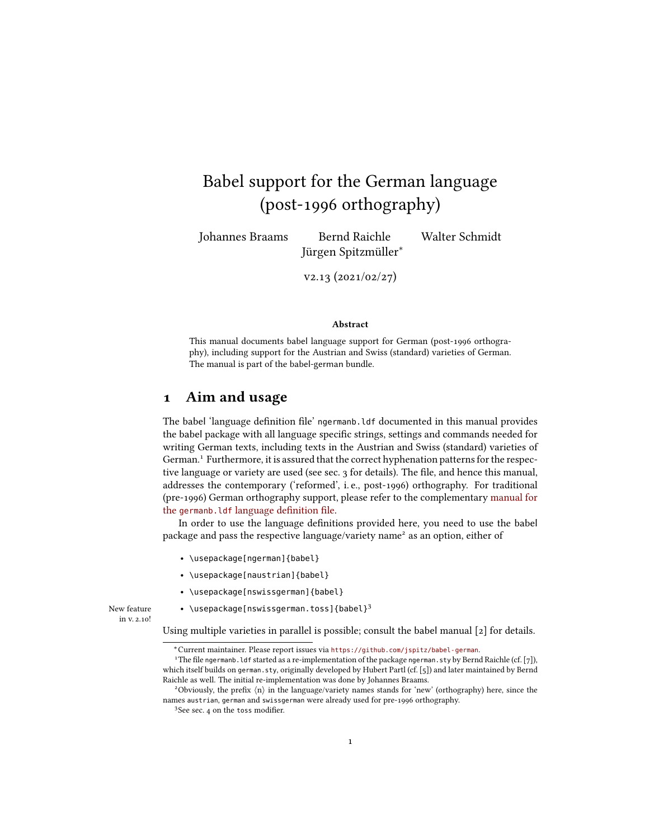# Babel support for the German language (post-1996 orthography)

Johannes Braams Bernd Raichle Walter Schmidt Jürgen Spitzmüller<sup>∗</sup>

v2.13 (2021/02/27)

#### Abstract

This manual documents babel language support for German (post-1996 orthography), including support for the Austrian and Swiss (standard) varieties of German. The manual is part of the babel-german bundle.

#### 1 Aim and usage

The babel 'language definition file' ngermanb. Ldf documented in this manual provides the babel package with all language specific strings, settings and commands needed for writing German texts, including texts in the Austrian and Swiss (standard) varieties of German.<sup>[1](#page-0-0)</sup> Furthermore, it is assured that the correct hyphenation patterns for the respec-tive language or variety are used (see sec. [3](#page-2-0) for details). The file, and hence this manual, addresses the contemporary ('reformed', i. e., post-1996) orthography. For traditional (pre-1996) German orthography support, please refer to the complementary manual for the germanb. ldf language definition file.

In order to use the language definitions provided here, you need to use the babel package and pass the respective language/variety name<sup>[2](#page-0-1)</sup> as an option, either of

- \usepackage[ngerman]{babel}
- \usepackage[naustrian]{babel}
- \usepackage[nswissgerman]{babel}

New feature  $\qquad \bullet \ \ \texttt{{\char'134}{}$  $\qquad \bullet \ \ \texttt{{\char'134}{}$  $\qquad \bullet \ \ \texttt{{\char'134}{}$  \usepackage[nswissgerman.toss]{babel} $^3$ in v. 2.10!

Using multiple varieties in parallel is possible; consult the babel manual [\[2\]](#page-10-0) for details.

<span id="page-0-0"></span><sup>∗</sup>Current maintainer. Please report issues via <https://github.com/jspitz/babel-german>.

<sup>&</sup>lt;sup>1</sup>The file ngermanb. ldf started as a re-implementation of the package ngerman. sty by Bernd Raichle (cf. [\[7\]](#page-10-1)), which itself builds on german.sty, originally developed by Hubert Partl (cf. [\[5\]](#page-10-2)) and later maintained by Bernd Raichle as well. The initial re-implementation was done by Johannes Braams.

<span id="page-0-1"></span><sup>&</sup>lt;sup>2</sup>Obviously, the prefix  $\langle n \rangle$  in the language/variety names stands for 'new' (orthography) here, since the names austrian, german and swissgerman were already used for pre-1996 orthography.

<span id="page-0-2"></span><sup>&</sup>lt;sup>3</sup>See sec. [4](#page-2-1) on the toss modifier.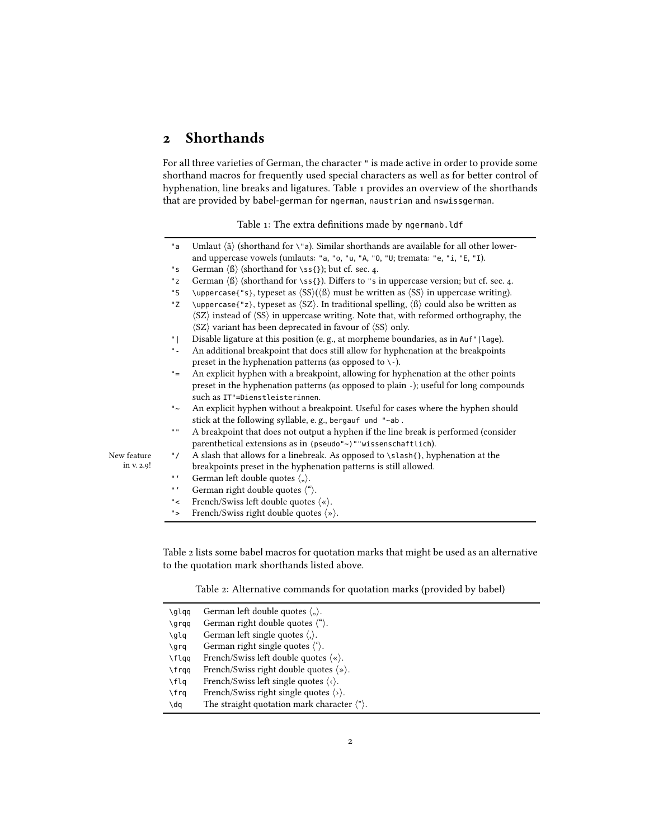## 2 Shorthands

<span id="page-1-0"></span>For all three varieties of German, the character " is made active in order to provide some shorthand macros for frequently used special characters as well as for better control of hyphenation, line breaks and ligatures. Table [1](#page-1-0) provides an overview of the shorthands that are provided by babel-german for ngerman, naustrian and nswissgerman.

Table 1: The extra definitions made by ngermanb.ldf

|             | "a           | Umlaut $\langle$ ä $\rangle$ (shorthand for \"a). Similar shorthands are available for all other lower-                              |
|-------------|--------------|--------------------------------------------------------------------------------------------------------------------------------------|
|             |              | and uppercase vowels (umlauts: "a, "o, "u, "A, "0, "U; tremata: "e, "i, "E, "I).                                                     |
|             | "s           | German $\langle \beta \rangle$ (shorthand for \ss{}); but cf. sec. 4.                                                                |
|             | "z"          | German $\langle \beta \rangle$ (shorthand for \ss{}). Differs to "s in uppercase version; but cf. sec. 4.                            |
|             | "S           | \uppercase{"s}, typeset as $\langle SS \rangle$ ( $\langle B \rangle$ must be written as $\langle SS \rangle$ in uppercase writing). |
|             | "Z           | \uppercase{"z}, typeset as $\langle SZ \rangle$ . In traditional spelling, $\langle \beta \rangle$ could also be written as          |
|             |              | (SZ) instead of (SS) in uppercase writing. Note that, with reformed orthography, the                                                 |
|             |              | $\langle SZ \rangle$ variant has been deprecated in favour of $\langle SS \rangle$ only.                                             |
|             | " L          | Disable ligature at this position (e.g., at morpheme boundaries, as in Auf"   lage).                                                 |
|             | $\rm ^{0}$ . | An additional breakpoint that does still allow for hyphenation at the breakpoints                                                    |
|             |              | preset in the hyphenation patterns (as opposed to $\backslash$ -).                                                                   |
|             | $"="$        | An explicit hyphen with a breakpoint, allowing for hyphenation at the other points                                                   |
|             |              | preset in the hyphenation patterns (as opposed to plain -); useful for long compounds                                                |
|             |              | such as IT"=Dienstleisterinnen.                                                                                                      |
|             | $" \sim$     | An explicit hyphen without a breakpoint. Useful for cases where the hyphen should                                                    |
|             |              | stick at the following syllable, e.g., bergauf und "~ab.                                                                             |
|             | $\mathbf{u}$ | A breakpoint that does not output a hyphen if the line break is performed (consider                                                  |
|             |              | parenthetical extensions as in (pseudo"~)""wissenschaftlich).                                                                        |
| New feature | " $\prime$   | A slash that allows for a linebreak. As opposed to \slash{}, hyphenation at the                                                      |
| in v. 2.9!  |              | breakpoints preset in the hyphenation patterns is still allowed.                                                                     |
|             | $\mathbf{u}$ | German left double quotes $\langle \cdot, \cdot \rangle$ .                                                                           |
|             | $\mathbf{u}$ | German right double quotes $\langle$ " $\rangle$ .                                                                                   |
|             | "            | French/Swiss left double quotes $\langle \cdot \rangle$ .                                                                            |
|             | ">           | French/Swiss right double quotes $\langle \rangle$ .                                                                                 |

Table [2](#page-1-1) lists some babel macros for quotation marks that might be used as an alternative to the quotation mark shorthands listed above.

<span id="page-1-1"></span>

| \glqq         | German left double quotes $\langle \cdot, \cdot \rangle$ .      |
|---------------|-----------------------------------------------------------------|
| \grqq         | German right double quotes $\langle$ " $\rangle$ .              |
| \qlq          | German left single quotes $\langle \cdot \rangle$ .             |
| \qrq          | German right single quotes $\langle \cdot \rangle$ .            |
| \flqq         | French/Swiss left double quotes $\langle \cdot \rangle$ .       |
| $\frac{1}{2}$ | French/Swiss right double quotes $\langle \rangle$ .            |
| \flq          | French/Swiss left single quotes $\langle \cdot \rangle$ .       |
| \frq          | French/Swiss right single quotes $\langle \cdot \rangle$ .      |
| \dq           | The straight quotation mark character $\langle \cdot \rangle$ . |
|               |                                                                 |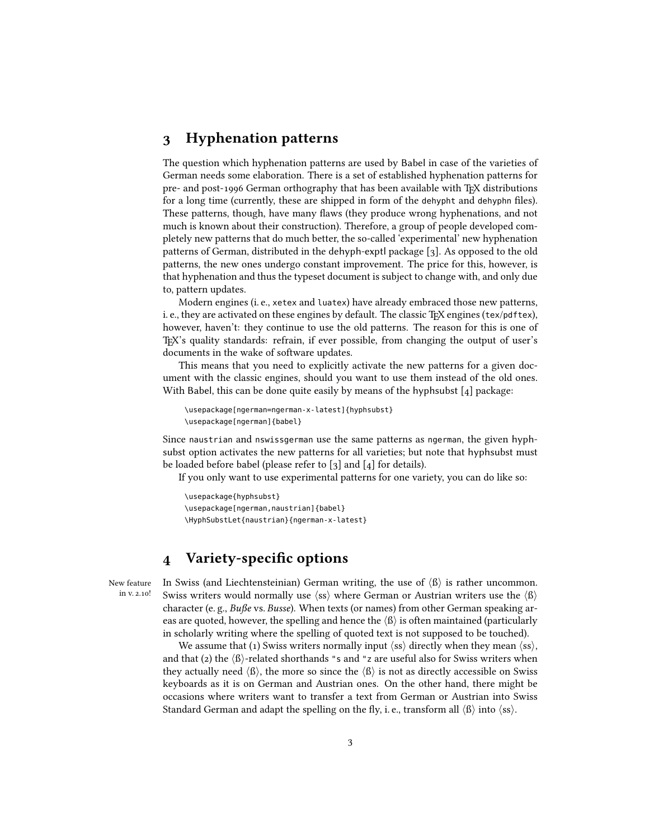#### <span id="page-2-0"></span>3 Hyphenation patterns

The question which hyphenation patterns are used by Babel in case of the varieties of German needs some elaboration. There is a set of established hyphenation patterns for pre- and post-1996 German orthography that has been available with TFX distributions for a long time (currently, these are shipped in form of the dehypht and dehyphn files). These patterns, though, have many flaws (they produce wrong hyphenations, and not much is known about their construction). Therefore, a group of people developed completely new patterns that do much better, the so-called 'experimental' new hyphenation patterns of German, distributed in the dehyph-exptl package [\[3\]](#page-10-3). As opposed to the old patterns, the new ones undergo constant improvement. The price for this, however, is that hyphenation and thus the typeset document is subject to change with, and only due to, pattern updates.

Modern engines (i. e., xetex and luatex) have already embraced those new patterns, i. e., they are activated on these engines by default. The classic TFX engines (tex/pdftex), however, haven't: they continue to use the old patterns. The reason for this is one of TEX's quality standards: refrain, if ever possible, from changing the output of user's documents in the wake of software updates.

This means that you need to explicitly activate the new patterns for a given document with the classic engines, should you want to use them instead of the old ones. With Babel, this can be done quite easily by means of the hyphsubst [\[4\]](#page-10-4) package:

```
\usepackage[ngerman=ngerman-x-latest]{hyphsubst}
\usepackage[ngerman]{babel}
```
Since naustrian and nswissgerman use the same patterns as ngerman, the given hyphsubst option activates the new patterns for all varieties; but note that hyphsubst must be loaded before babel (please refer to [\[3\]](#page-10-3) and [\[4\]](#page-10-4) for details).

If you only want to use experimental patterns for one variety, you can do like so:

```
\usepackage{hyphsubst}
\usepackage[ngerman,naustrian]{babel}
\HyphSubstLet{naustrian}{ngerman-x-latest}
```
## <span id="page-2-1"></span>4 Variety-specific options

New feature in v. 2.10! In Swiss (and Liechtensteinian) German writing, the use of  $\langle \beta \rangle$  is rather uncommon. Swiss writers would normally use  $\langle ss \rangle$  where German or Austrian writers use the  $\langle \beta \rangle$ character (e.g.,  $Bufs$ e vs. Busse). When texts (or names) from other German speaking areas are quoted, however, the spelling and hence the  $\langle \beta \rangle$  is often maintained (particularly in scholarly writing where the spelling of quoted text is not supposed to be touched).

We assume that (1) Swiss writers normally input  $\langle ss \rangle$  directly when they mean  $\langle ss \rangle$ , and that (2) the  $\langle \text{B} \rangle$ -related shorthands "s and "z are useful also for Swiss writers when they actually need  $\langle \beta \rangle$ , the more so since the  $\langle \beta \rangle$  is not as directly accessible on Swiss keyboards as it is on German and Austrian ones. On the other hand, there might be occasions where writers want to transfer a text from German or Austrian into Swiss Standard German and adapt the spelling on the fly, i. e., transform all  $\langle \beta \rangle$  into  $\langle \text{ss} \rangle$ .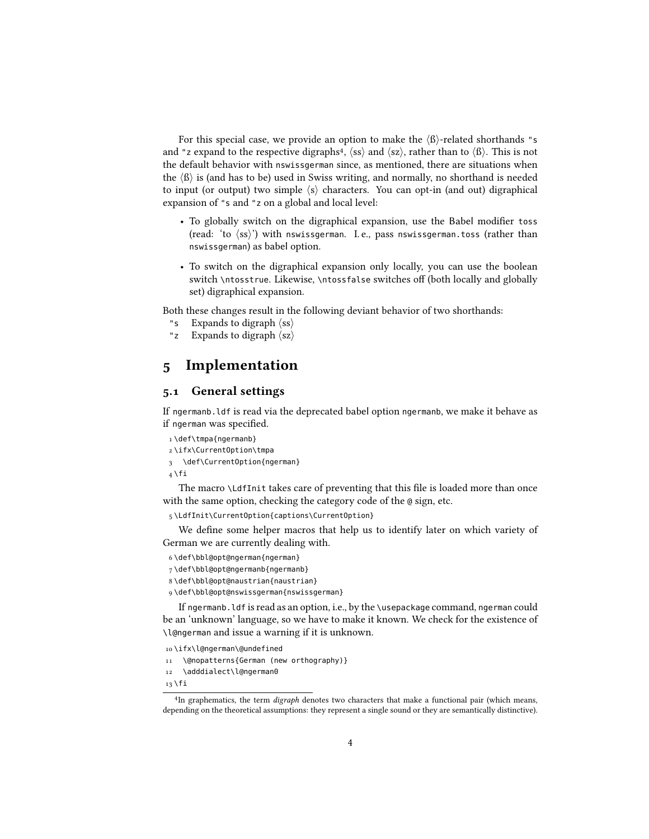For this special case, we provide an option to make the  $\langle \beta \rangle$ -related shorthands "s and "z expand to the respective digraphs<sup>[4](#page-3-0)</sup>,  $\langle ss \rangle$  and  $\langle sz \rangle$ , rather than to  $\langle \beta \rangle$ . This is not the default behavior with nswissgerman since, as mentioned, there are situations when the  $\langle \beta \rangle$  is (and has to be) used in Swiss writing, and normally, no shorthand is needed to input (or output) two simple  $\langle s \rangle$  characters. You can opt-in (and out) digraphical expansion of "s and "z on a global and local level:

- To globally switch on the digraphical expansion, use the Babel modifier toss (read: 'to  $\langle ss \rangle$ ') with nswissgerman. I. e., pass nswissgerman.toss (rather than nswissgerman) as babel option.
- To switch on the digraphical expansion only locally, you can use the boolean switch \ntosstrue. Likewise, \ntossfalse switches off (both locally and globally set) digraphical expansion.

Both these changes result in the following deviant behavior of two shorthands:

- "s Expands to digraph  $\langle ss \rangle$
- "z Expands to digraph  $\langle sz \rangle$

### 5 Implementation

#### 5.1 General settings

If ngermanb.ldf is read via the deprecated babel option ngermanb, we make it behave as if ngerman was specified.

```
1 \def\tmpa{ngermanb}
2 \ifx\CurrentOption\tmpa
3 \def\CurrentOption{ngerman}
4 \tilde{1}
```
The macro \LdfInit takes care of preventing that this file is loaded more than once with the same option, checking the category code of the @ sign, etc.

```
5 \LdfInit\CurrentOption{captions\CurrentOption}
```
We define some helper macros that help us to identify later on which variety of German we are currently dealing with.

```
6 \def\bbl@opt@ngerman{ngerman}
```

```
7 \def\bbl@opt@ngermanb{ngermanb}
```

```
8 \def\bbl@opt@naustrian{naustrian}
```

```
9 \def\bbl@opt@nswissgerman{nswissgerman}
```
If ngermanb.ldf is read as an option, i.e., by the \usepackage command, ngerman could be an 'unknown' language, so we have to make it known. We check for the existence of \l@ngerman and issue a warning if it is unknown.

```
10 \ifx\l@ngerman\@undefined
```

```
11 \@nopatterns{German (new orthography)}
```

```
12 \adddialect\l@ngerman0
```
 $13 \overline{11}$ 

<span id="page-3-0"></span><sup>&</sup>lt;sup>4</sup>In graphematics, the term *digraph* denotes two characters that make a functional pair (which means, depending on the theoretical assumptions: they represent a single sound or they are semantically distinctive).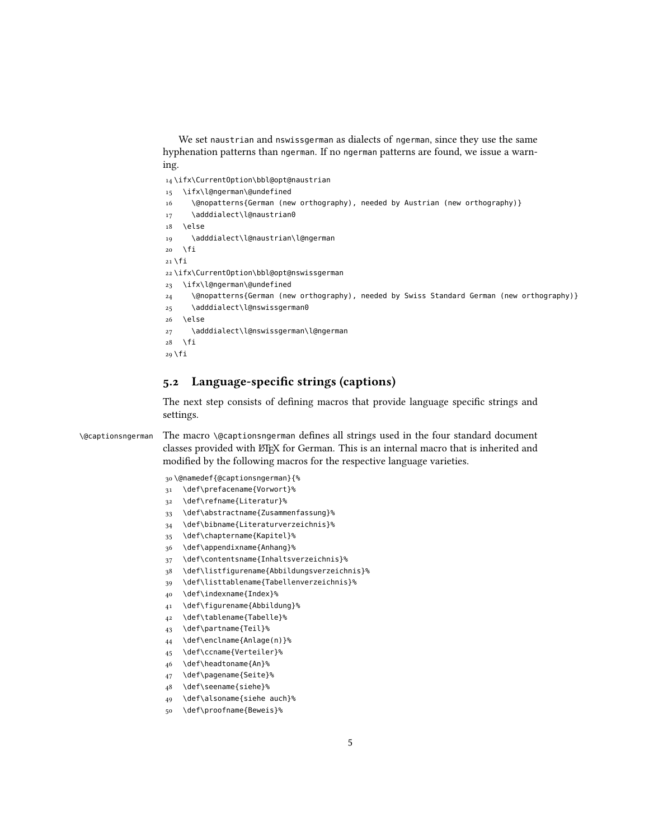We set naustrian and nswissgerman as dialects of ngerman, since they use the same hyphenation patterns than ngerman. If no ngerman patterns are found, we issue a warning.

\ifx\CurrentOption\bbl@opt@naustrian

- \ifx\l@ngerman\@undefined
- \@nopatterns{German (new orthography), needed by Austrian (new orthography)}
- 17 \adddialect\l@naustrian0
- \else

```
19 \adddialect\l@naustrian\l@ngerman
```
 $20 \quad \text{If}$ 

```
21 \overline{1}
```
\ifx\CurrentOption\bbl@opt@nswissgerman

```
23 \ifx\l@ngerman\@undefined
```
24 \@nopatterns{German (new orthography), needed by Swiss Standard German (new orthography)}

```
25 \adddialect\l@nswissgerman0
```

```
26 \else
```

```
27 \adddialect\l@nswissgerman\l@ngerman
```

```
28 \text{ } \fi
```

```
29 \fi
```
#### 5.2 Language-specific strings (captions)

The next step consists of defining macros that provide language specific strings and settings.

\@captionsngerman The macro \@captionsngerman defines all strings used in the four standard document classes provided with LATEX for German. This is an internal macro that is inherited and modified by the following macros for the respective language varieties.

\@namedef{@captionsngerman}{%

- \def\prefacename{Vorwort}%
- \def\refname{Literatur}%
- \def\abstractname{Zusammenfassung}%
- \def\bibname{Literaturverzeichnis}%
- \def\chaptername{Kapitel}%
- \def\appendixname{Anhang}%
- \def\contentsname{Inhaltsverzeichnis}%
- \def\listfigurename{Abbildungsverzeichnis}%
- \def\listtablename{Tabellenverzeichnis}%
- \def\indexname{Index}%
- \def\figurename{Abbildung}%
- \def\tablename{Tabelle}%
- \def\partname{Teil}%
- \def\enclname{Anlage(n)}%
- \def\ccname{Verteiler}%
- \def\headtoname{An}%
- \def\pagename{Seite}%
- \def\seename{siehe}%
- \def\alsoname{siehe auch}%
- \def\proofname{Beweis}%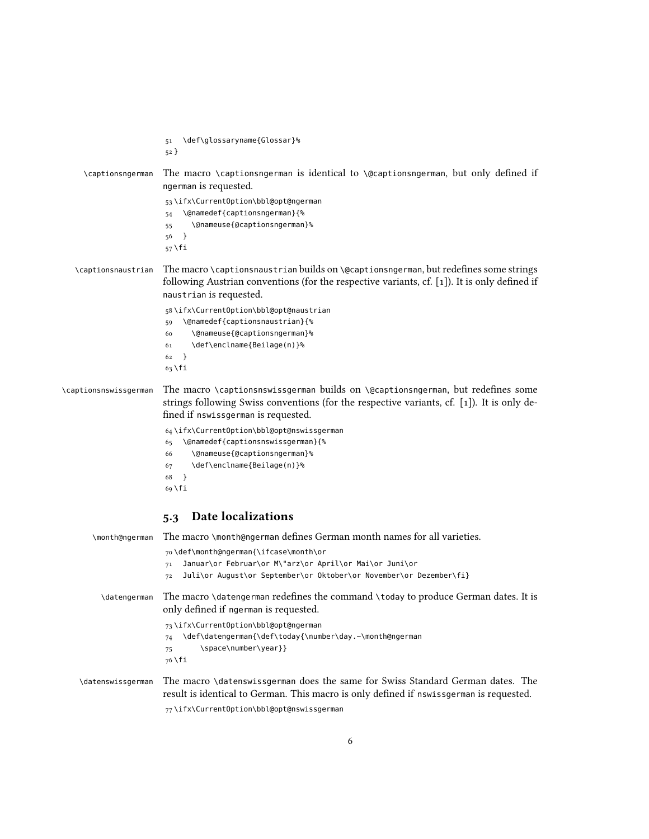|                       | \def\glossaryname{Glossar}%<br>51<br>$52$ }                                                                                                                                                                                                                                                                                                                                                                     |
|-----------------------|-----------------------------------------------------------------------------------------------------------------------------------------------------------------------------------------------------------------------------------------------------------------------------------------------------------------------------------------------------------------------------------------------------------------|
| \captionsngerman      | The macro \captionsngerman is identical to \@captionsngerman, but only defined if<br>ngerman is requested.                                                                                                                                                                                                                                                                                                      |
|                       | 53\ifx\CurrentOption\bbl@opt@ngerman<br>\@namedef{captionsngerman}{%<br>54<br>\@nameuse{@captionsngerman}%<br>55<br>}<br>56<br>$57$ \fi                                                                                                                                                                                                                                                                         |
| \captionsnaustrian    | The macro \captionsnaustrian builds on \@captionsngerman, but redefines some strings<br>following Austrian conventions (for the respective variants, cf. $[1]$ ). It is only defined if<br>naustrian is requested.                                                                                                                                                                                              |
|                       | 58\ifx\CurrentOption\bbl@opt@naustrian<br>\@namedef{captionsnaustrian}{%<br>59<br>\@nameuse{@captionsngerman}%<br>60<br>\def\enclname{Beilage(n)}%<br>61<br>$\}$<br>62<br>$63$ \fi                                                                                                                                                                                                                              |
| \captionsnswissgerman | The macro \captionsnswissgerman builds on \@captionsngerman, but redefines some<br>strings following Swiss conventions (for the respective variants, cf. [1]). It is only de-<br>fined if nswissgerman is requested.<br>64 \ifx\CurrentOption\bbl@opt@nswissgerman<br>\@namedef{captionsnswissgerman}{%<br>65<br>\@nameuse{@captionsngerman}%<br>66<br>\def\enclname{Beilage(n)}%<br>67<br>$\}$<br>68<br>69 \fi |
|                       | Date localizations<br>5.3                                                                                                                                                                                                                                                                                                                                                                                       |
| \month@ngerman        | The macro \month@ngerman defines German month names for all varieties.<br>70\def\month@ngerman{\ifcase\month\or<br>Januar\or Februar\or M\"arz\or April\or Mai\or Juni\or<br>71<br>Juli\or August\or September\or Oktober\or November\or Dezember\fi}<br>72                                                                                                                                                     |
| \datengerman          | The macro \datengerman redefines the command \today to produce German dates. It is<br>only defined if ngerman is requested.<br>73 \ifx\CurrentOption\bbl@opt@ngerman<br>\def\datengerman{\def\today{\number\day.~\month@ngerman<br>74<br>\space\number\year}}<br>75                                                                                                                                             |
| \datenswissgerman     | 76 \fi<br>The macro \datenswissgerman does the same for Swiss Standard German dates. The<br>result is identical to German. This macro is only defined if nswissgerman is requested.<br>77\ifx\CurrentOption\bbl@opt@nswissgerman                                                                                                                                                                                |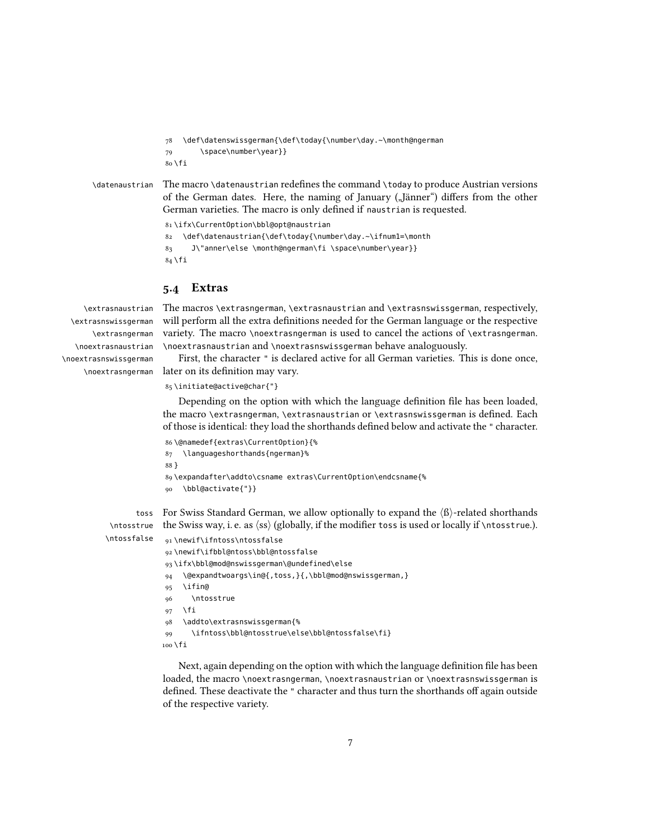```
78 \def\datenswissgerman{\def\today{\number\day.~\month@ngerman
               79 \space\number\year}}
               80 \fi
\datenaustrian The macro \datenaustrian redefines the command \today to produce Austrian versions
```
of the German dates. Here, the naming of January ("Jänner") differs from the other German varieties. The macro is only defined if naustrian is requested. 81 \ifx\CurrentOption\bbl@opt@naustrian

```
82 \def\datenaustrian{\def\today{\number\day.~\ifnum1=\month
83 J\"anner\else \month@ngerman\fi \space\number\year}}
84 \fi
```
#### 5.4 Extras

\extrasnaustrian \extrasnswissgerman \extrasngerman \noextrasnaustrian \noextrasnswissgerman

The macros \extrasngerman, \extrasnaustrian and \extrasnswissgerman, respectively, will perform all the extra definitions needed for the German language or the respective variety. The macro \noextrasngerman is used to cancel the actions of \extrasngerman. \noextrasnaustrian and \noextrasnswissgerman behave analoguously.

\noextrasngerman later on its definition may vary. First, the character " is declared active for all German varieties. This is done once,

```
85 \initiate@active@char{"}
```
Depending on the option with which the language definition file has been loaded, the macro \extrasngerman, \extrasnaustrian or \extrasnswissgerman is defined. Each of those is identical: they load the shorthands defined below and activate the " character.

```
86 \@namedef{extras\CurrentOption}{%
87 \languageshorthands{ngerman}%
88 }
89 \expandafter\addto\csname extras\CurrentOption\endcsname{%
90 \bbl@activate{"}}
```
toss For Swiss Standard German, we allow optionally to expand the  $\langle \text{B} \rangle$ -related shorthands \ntosstrue the Swiss way, i. e. as  $\langle ss \rangle$  (globally, if the modifier toss is used or locally if  $\langle$ ntosstrue.).

\ntossfalse

```
91 \newif\ifntoss\ntossfalse
92 \newif\ifbbl@ntoss\bbl@ntossfalse
93 \ifx\bbl@mod@nswissgerman\@undefined\else
94 \@expandtwoargs\in@{,toss,}{,\bbl@mod@nswissgerman,}
95 \ifin@
96 \ntosstrue
97 \sqrt{fi}98 \addto\extrasnswissgerman{%
99 \ifntoss\bbl@ntosstrue\else\bbl@ntossfalse\fi}
100 \fi
```
Next, again depending on the option with which the language definition file has been loaded, the macro \noextrasngerman, \noextrasnaustrian or \noextrasnswissgerman is defined. These deactivate the " character and thus turn the shorthands off again outside of the respective variety.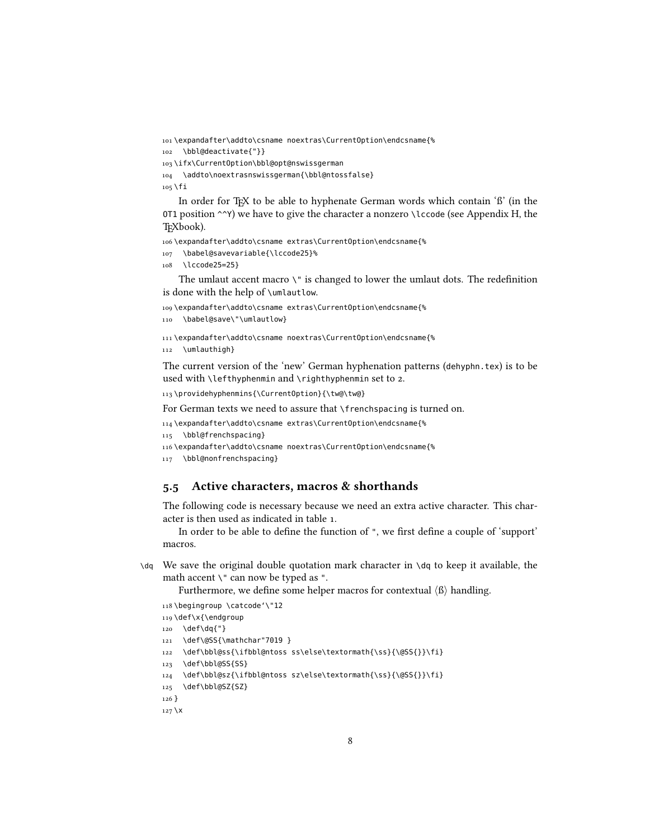```
101 \expandafter\addto\csname noextras\CurrentOption\endcsname{%
102 \bbl@deactivate{"}}
103 \ifx\CurrentOption\bbl@opt@nswissgerman
```

```
104 \addto\noextrasnswissgerman{\bbl@ntossfalse}
```
 $105$  \fi

In order for T<sub>EX</sub> to be able to hyphenate German words which contain  $B'$  (in the OT1 position  $\sim$ Y) we have to give the character a nonzero \lccode (see Appendix H, the T<sub>E</sub>Xbook).

106 \expandafter\addto\csname extras\CurrentOption\endcsname{%

- 107 \babel@savevariable{\lccode25}%
- 108 \lccode25=25}

The umlaut accent macro  $\Upsilon$  is changed to lower the umlaut dots. The redefinition is done with the help of \umlautlow.

```
109 \expandafter\addto\csname extras\CurrentOption\endcsname{%
```

```
110 \babel@save\"\umlautlow}
```

```
111 \expandafter\addto\csname noextras\CurrentOption\endcsname{%
112 \umlauthigh}
```
The current version of the 'new' German hyphenation patterns (dehyphn.tex) is to be used with \lefthyphenmin and \righthyphenmin set to 2.

```
113 \providehyphenmins{\CurrentOption}{\tw@\tw@}
```
For German texts we need to assure that \frenchspacing is turned on.

```
114 \expandafter\addto\csname extras\CurrentOption\endcsname{%
```

```
115 \bbl@frenchspacing}
```

```
116 \expandafter\addto\csname noextras\CurrentOption\endcsname{%
```

```
117 \bbl@nonfrenchspacing}
```
#### 5.5 Active characters, macros & shorthands

The following code is necessary because we need an extra active character. This character is then used as indicated in table [1.](#page-1-0)

In order to be able to define the function of ", we first define a couple of 'support' macros.

 $\mathcal{A}$  We save the original double quotation mark character in  $\mathcal{A}$  to keep it available, the math accent \" can now be typed as ".

Furthermore, we define some helper macros for contextual  $\langle \beta \rangle$  handling.

```
118 \begingroup \catcode'\"12
```

```
119 \def\x{\endgroup
```

```
120 \def\dq{"}
```
- 121 \def\@SS{\mathchar"7019 }
- 122 \def\bbl@ss{\ifbbl@ntoss ss\else\textormath{\ss}{\@SS{}}\fi}
- 123 \def\bbl@SS{SS}
- 124 \def\bbl@sz{\ifbbl@ntoss sz\else\textormath{\ss}{\@SS{}}\fi}

```
125 \def\bbl@SZ{SZ}
```

```
126 }
```

```
127 \x
```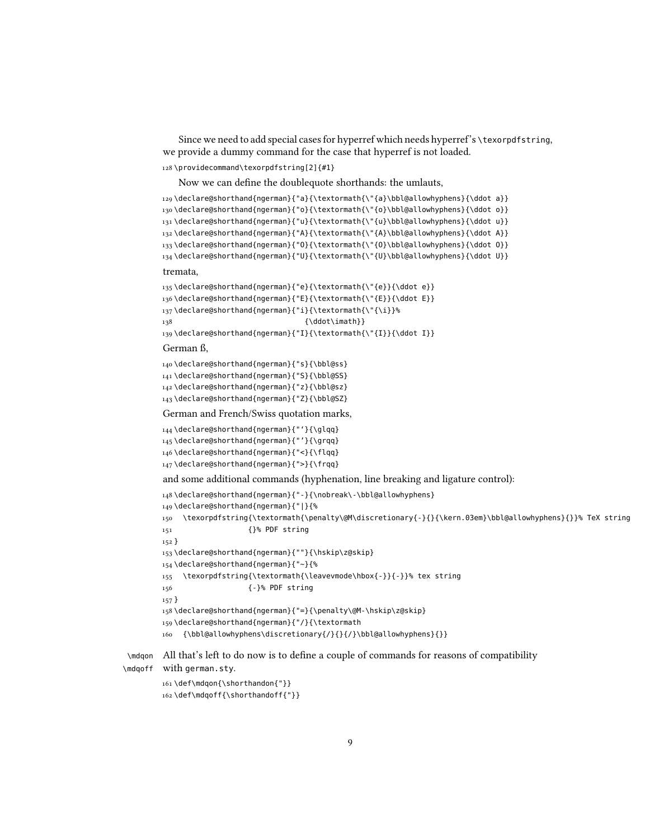Since we need to add special cases for hyperref which needs hyperref's \texorpdfstring, we provide a dummy command for the case that hyperref is not loaded.

```
128 \providecommand\texorpdfstring[2]{#1}
```
Now we can define the doublequote shorthands: the umlauts,

```
129 \declare@shorthand{ngerman}{"a}{\textormath{\"{a}\bbl@allowhyphens}{\ddot a}}
130 \declare@shorthand{ngerman}{"o}{\textormath{\"{o}\bbl@allowhyphens}{\ddot o}}
131 \declare@shorthand{ngerman}{"u}{\textormath{\"{u}\bbl@allowhyphens}{\ddot u}}
132 \declare@shorthand{ngerman}{"A}{\textormath{\"{A}\bbl@allowhyphens}{\ddot A}}
133 \declare@shorthand{ngerman}{"O}{\textormath{\"{O}\bbl@allowhyphens}{\ddot O}}
134 \declare@shorthand{ngerman}{"U}{\textormath{\"{U}\bbl@allowhyphens}{\ddot U}}
```
tremata,

```
135 \declare@shorthand{ngerman}{"e}{\textormath{\"{e}}{\ddot e}}
136 \declare@shorthand{ngerman}{"E}{\textormath{\"{E}}{\ddot E}}
137 \declare@shorthand{ngerman}{"i}{\textormath{\"{\i}}%
138 {\ddot\imath}}
139 \declare@shorthand{ngerman}{"I}{\textormath{\"{I}}{\ddot I}}
```
German ß,

140 \declare@shorthand{ngerman}{"s}{\bbl@ss} 141 \declare@shorthand{ngerman}{"S}{\bbl@SS} 142 \declare@shorthand{ngerman}{"z}{\bbl@sz}

143 \declare@shorthand{ngerman}{"Z}{\bbl@SZ}

German and French/Swiss quotation marks,

```
144 \declare@shorthand{ngerman}{"'}{\glqq}
145 \declare@shorthand{ngerman}{"'}{\grqq}
146 \declare@shorthand{ngerman}{"<}{\flqq}
147 \declare@shorthand{ngerman}{">}{\frqq}
```
and some additional commands (hyphenation, line breaking and ligature control):

```
148 \declare@shorthand{ngerman}{"-}{\nobreak\-\bbl@allowhyphens}
149 \declare@shorthand{ngerman}{"|}{%
150 \texorpdfstring{\textormath{\penalty\@M\discretionary{-}{}{\kern.03em}\bbl@allowhyphens}{}}% TeX string
151 {}% PDF string
152 }
153 \declare@shorthand{ngerman}{""}{\hskip\z@skip}
154 \declare@shorthand{ngerman}{"~}{%
155 \texorpdfstring{\textormath{\leavevmode\hbox{-}}{-}}% tex string
156 {-}% PDF string
157 }
158 \declare@shorthand{ngerman}{"=}{\penalty\@M-\hskip\z@skip}
159 \declare@shorthand{ngerman}{"/}{\textormath
160 {\bbl@allowhyphens\discretionary{/}{}{/}\bbl@allowhyphens}{}}
```
\mdqon All that's left to do now is to define a couple of commands for reasons of compatibility \mdqoff with german.sty.

```
161 \def\mdqon{\shorthandon{"}}
162 \def\mdqoff{\shorthandoff{"}}
```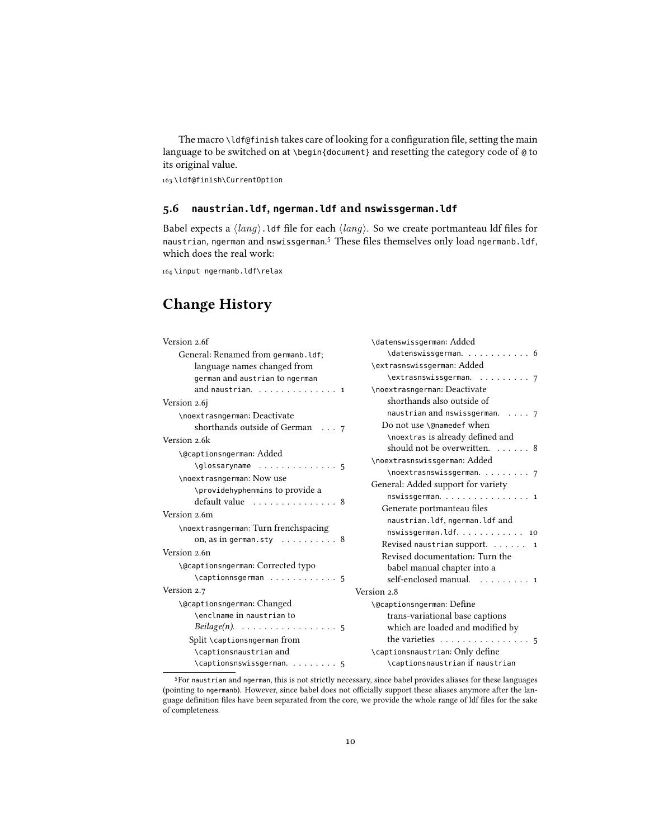The macro \ldf@finish takes care of looking for a configuration file, setting the main language to be switched on at \begin{document} and resetting the category code of @ to its original value.

163 \ldf@finish\CurrentOption

#### 5.6 **naustrian.ldf**, **ngerman.ldf** and **nswissgerman.ldf**

Babel expects a  $\langle lang \rangle$ . ldf file for each  $\langle lang \rangle$ . So we create portmanteau ldf files for naustrian, ngerman and nswissgerman.<sup>[5](#page-9-0)</sup> These files themselves only load ngermanb.ldf, which does the real work:

164 \input ngermanb.ldf\relax

## Change History

| Version 2.6f                                                                                                      | \datenswissgerman: Added                            |
|-------------------------------------------------------------------------------------------------------------------|-----------------------------------------------------|
| General: Renamed from germanb.ldf;                                                                                | $\dagger$ datenswissgerman. 6                       |
| language names changed from                                                                                       | \extrasnswissgerman: Added                          |
| german and austrian to ngerman                                                                                    | \extrasnswissgerman. 7                              |
| and naustrian. $\ldots \ldots \ldots \ldots$                                                                      | \noextrasngerman: Deactivate                        |
| Version 2.6j                                                                                                      | shorthands also outside of                          |
| \noextrasngerman: Deactivate                                                                                      | naustrian and nswissgerman. $\ldots$ 7              |
| shorthands outside of German $\ldots$ 7                                                                           | Do not use \@namedef when                           |
| Version 2.6k                                                                                                      | \noextras is already defined and                    |
| \@captionsngerman: Added                                                                                          | should not be overwritten. 8                        |
| $\qquad \qquad \qquad \qquad \qquad \ldots \ldots \qquad \qquad \ldots \qquad \qquad \ldots \qquad \qquad \ldots$ | \noextrasnswissgerman: Added                        |
| \noextrasngerman: Now use                                                                                         | \noextrasnswissgerman. 7                            |
| \providehyphenmins to provide a                                                                                   | General: Added support for variety                  |
| default value  8                                                                                                  | nswissgerman. 1                                     |
| Version 2.6m                                                                                                      | Generate portmanteau files                          |
| \noextrasngerman: Turn frenchspacing                                                                              | naustrian.ldf, ngerman.ldf and                      |
| on, as in german.sty $\ldots \ldots \ldots 8$                                                                     | nswissgerman.ldf. 10                                |
| Version 2.6n                                                                                                      | Revised naustrian support. $\ldots$ . $\ldots$ 1    |
|                                                                                                                   | Revised documentation: Turn the                     |
| \@captionsngerman: Corrected typo                                                                                 | babel manual chapter into a                         |
| $\setminus$ captionnsgerman  5                                                                                    | self-enclosed manual. 1                             |
| Version 2.7                                                                                                       | Version 2.8                                         |
| \@captionsngerman: Changed                                                                                        | \@captionsngerman: Define                           |
| \enclname in naustrian to                                                                                         | trans-variational base captions                     |
| $Beilage(n). \ldots \ldots \ldots \ldots \ldots 5$                                                                | which are loaded and modified by                    |
| Split \captionsngerman from                                                                                       | the varieties $\dots \dots \dots \dots \dots \dots$ |
| \captionsnaustrian and                                                                                            | \captionsnaustrian: Only define                     |
|                                                                                                                   | \captionsnaustrian if naustrian                     |

<span id="page-9-0"></span><sup>5</sup>For naustrian and ngerman, this is not strictly necessary, since babel provides aliases for these languages (pointing to ngermanb). However, since babel does not officially support these aliases anymore after the language definition files have been separated from the core, we provide the whole range of ldf files for the sake of completeness.